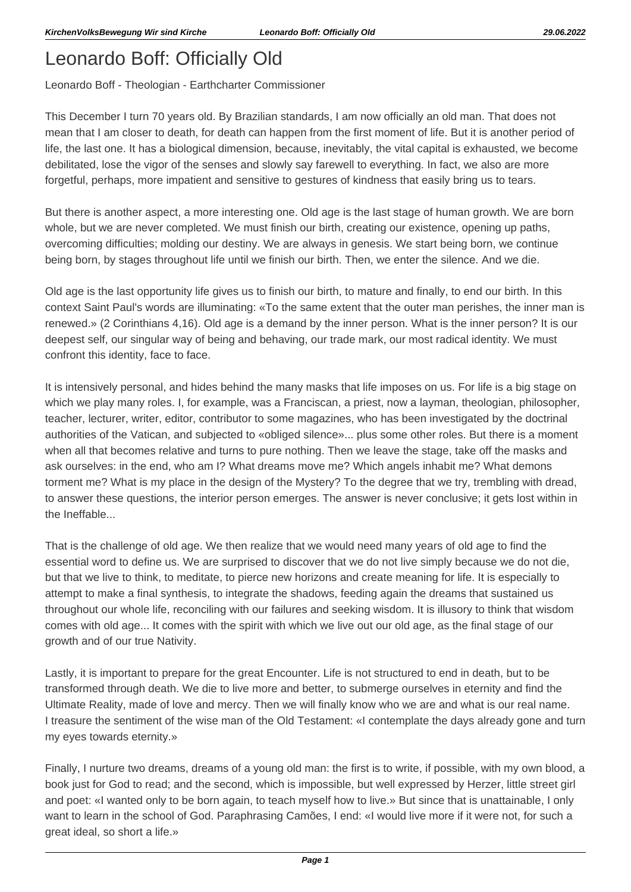## Leonardo Boff: Officially Old

Leonardo Boff - Theologian - Earthcharter Commissioner

This December I turn 70 years old. By Brazilian standards, I am now officially an old man. That does not mean that I am closer to death, for death can happen from the first moment of life. But it is another period of life, the last one. It has a biological dimension, because, inevitably, the vital capital is exhausted, we become debilitated, lose the vigor of the senses and slowly say farewell to everything. In fact, we also are more forgetful, perhaps, more impatient and sensitive to gestures of kindness that easily bring us to tears.

But there is another aspect, a more interesting one. Old age is the last stage of human growth. We are born whole, but we are never completed. We must finish our birth, creating our existence, opening up paths, overcoming difficulties; molding our destiny. We are always in genesis. We start being born, we continue being born, by stages throughout life until we finish our birth. Then, we enter the silence. And we die.

Old age is the last opportunity life gives us to finish our birth, to mature and finally, to end our birth. In this context Saint Paul's words are illuminating: «To the same extent that the outer man perishes, the inner man is renewed.» (2 Corinthians 4,16). Old age is a demand by the inner person. What is the inner person? It is our deepest self, our singular way of being and behaving, our trade mark, our most radical identity. We must confront this identity, face to face.

It is intensively personal, and hides behind the many masks that life imposes on us. For life is a big stage on which we play many roles. I, for example, was a Franciscan, a priest, now a layman, theologian, philosopher, teacher, lecturer, writer, editor, contributor to some magazines, who has been investigated by the doctrinal authorities of the Vatican, and subjected to «obliged silence»... plus some other roles. But there is a moment when all that becomes relative and turns to pure nothing. Then we leave the stage, take off the masks and ask ourselves: in the end, who am I? What dreams move me? Which angels inhabit me? What demons torment me? What is my place in the design of the Mystery? To the degree that we try, trembling with dread, to answer these questions, the interior person emerges. The answer is never conclusive; it gets lost within in the Ineffable...

That is the challenge of old age. We then realize that we would need many years of old age to find the essential word to define us. We are surprised to discover that we do not live simply because we do not die, but that we live to think, to meditate, to pierce new horizons and create meaning for life. It is especially to attempt to make a final synthesis, to integrate the shadows, feeding again the dreams that sustained us throughout our whole life, reconciling with our failures and seeking wisdom. It is illusory to think that wisdom comes with old age... It comes with the spirit with which we live out our old age, as the final stage of our growth and of our true Nativity.

Lastly, it is important to prepare for the great Encounter. Life is not structured to end in death, but to be transformed through death. We die to live more and better, to submerge ourselves in eternity and find the Ultimate Reality, made of love and mercy. Then we will finally know who we are and what is our real name. I treasure the sentiment of the wise man of the Old Testament: «I contemplate the days already gone and turn my eyes towards eternity.»

Finally, I nurture two dreams, dreams of a young old man: the first is to write, if possible, with my own blood, a book just for God to read; and the second, which is impossible, but well expressed by Herzer, little street girl and poet: «I wanted only to be born again, to teach myself how to live.» But since that is unattainable, I only want to learn in the school of God. Paraphrasing Camões, I end: «I would live more if it were not, for such a great ideal, so short a life.»